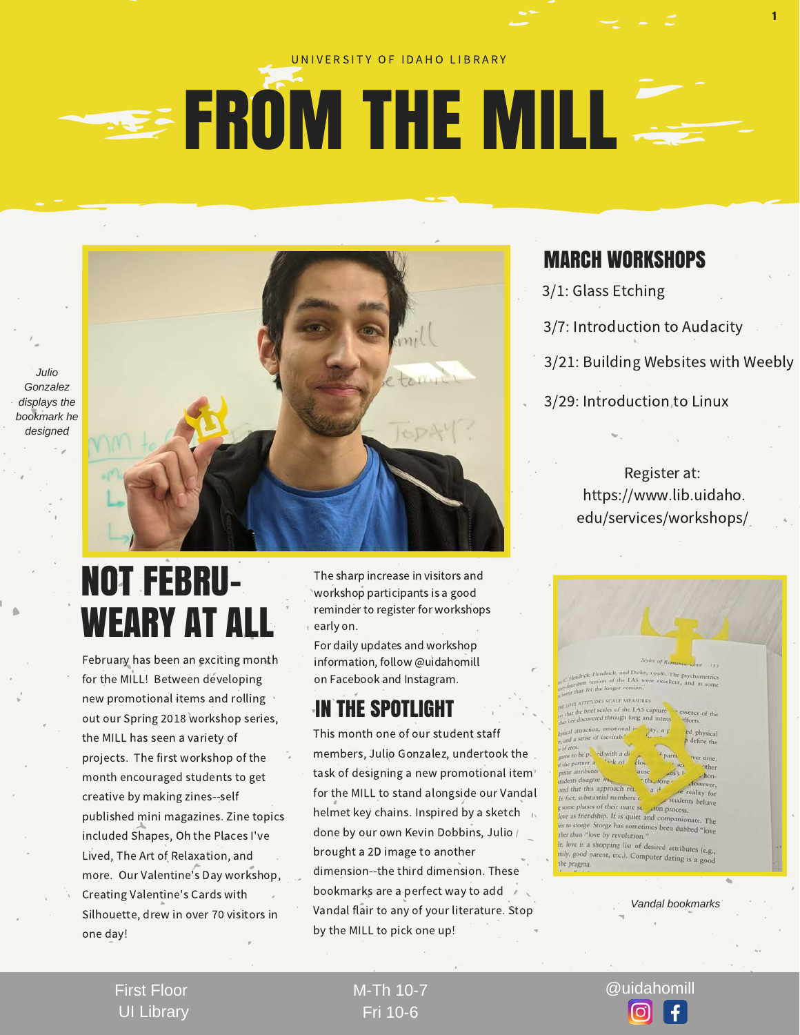#### UNIVERSITY OF IDAHO LIBRARY

## **EXAMPLE THE MILL**

*Julio Gonzalez displays the bookmark he designed*



#### MARCH WORKSHOPS

- 3/1: Glass Etching
- 3/7: Introduction to Audacity
- 3/21: Building Websites with Weebly

1

3/29: Introduction to Linux

Register at: https://www.lib.uidaho. edu/services/workshops/

## NOT FEBRU-WEARY AT A

February has been an exciting month for the MILL! Between developing new promotional items and rolling out our Spring 2018 workshop series, the MILL has seen a variety of projects. The first workshop of the month encouraged students to get creative by making zines--self published mini magazines. Zine topics included Shapes, Oh the Places I've Lived, The Art of Relaxation, and more. Our Valentine's Day workshop, Creating Valentine's Cards with Silhouette, drew in over 70 visitors in one day!

The sharp increase in visitors and workshop participants is a good reminder to register for workshops early on.

For daily updates and workshop information, follow @uidahomill on Facebook and Instagram.

### IN THE SPOTLIGHT

This month one of our student staff members, Julio Gonzalez, undertook the task of designing a new promotional item for the MILL to stand alongside our Vandal helmet key chains. Inspired by a sketch  $\sim$ done by our own Kevin Dobbins, Julio / brought a 2D image to another dimension--the third dimension. These bookmarks are a perfect way to add Vandal flair to any of your literature. Stop by the MILL to pick one up!



*Vandal bookmarks*

First Floor UI Library

Fri 10-6